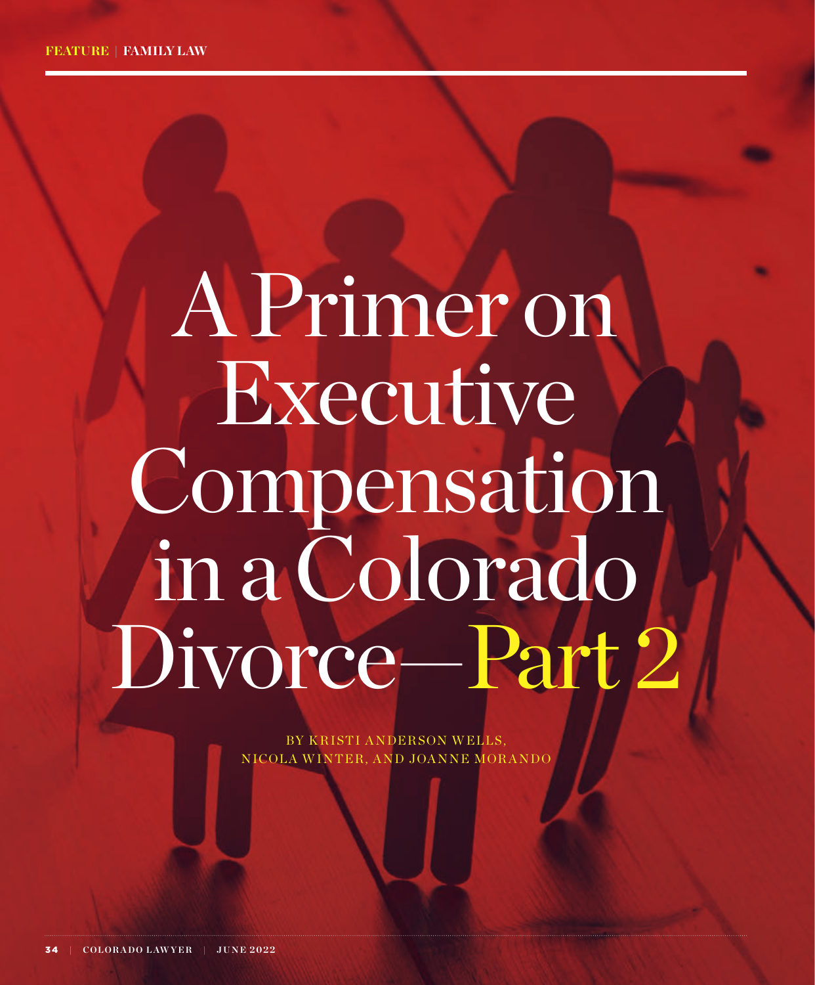# A Primer on Executive Compensation in a Colorado Divorce—Part 2

BY KRISTI ANDERSON WELLS, NICOLA WINTER, AND JOANNE MORANDO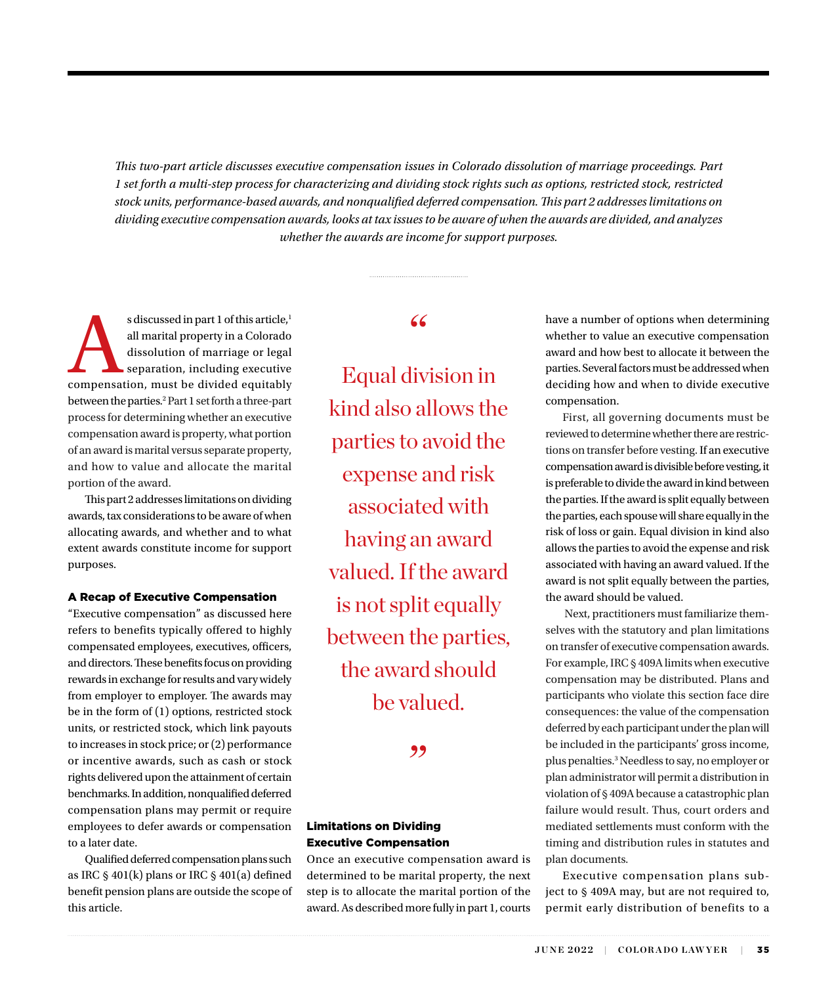*This two-part article discusses executive compensation issues in Colorado dissolution of marriage proceedings. Part 1 set forth a multi-step process for characterizing and dividing stock rights such as options, restricted stock, restricted stock units, performance-based awards, and nonqualified deferred compensation. This part 2 addresses limitations on dividing executive compensation awards, looks at tax issues to be aware of when the awards are divided, and analyzes whether the awards are income for support purposes.*

s discussed in part 1 of this article,<sup>1</sup><br>all marital property in a Colorado<br>dissolution of marriage or legal<br>separation, including executive<br>compensation, must be divided equitably all marital property in a Colorado dissolution of marriage or legal separation, including executive between the parties.<sup>2</sup> Part 1 set forth a three-part process for determining whether an executive compensation award is property, what portion of an award is marital versus separate property, and how to value and allocate the marital portion of the award.

This part 2 addresses limitations on dividing awards, tax considerations to be aware of when allocating awards, and whether and to what extent awards constitute income for support purposes.

### A Recap of Executive Compensation

"Executive compensation" as discussed here refers to benefits typically offered to highly compensated employees, executives, officers, and directors. These benefits focus on providing rewards in exchange for results and vary widely from employer to employer. The awards may be in the form of (1) options, restricted stock units, or restricted stock, which link payouts to increases in stock price; or (2) performance or incentive awards, such as cash or stock rights delivered upon the attainment of certain benchmarks. In addition, nonqualified deferred compensation plans may permit or require employees to defer awards or compensation to a later date.

Qualified deferred compensation plans such as IRC § 401(k) plans or IRC § 401(a) defined benefit pension plans are outside the scope of this article.

 $66$ 

Equal division in kind also allows the parties to avoid the expense and risk associated with having an award valued. If the award is not split equally between the parties, the award should be valued.

,,

# Limitations on Dividing Executive Compensation

Once an executive compensation award is determined to be marital property, the next step is to allocate the marital portion of the award. As described more fully in part 1, courts have a number of options when determining whether to value an executive compensation award and how best to allocate it between the parties. Several factors must be addressed when deciding how and when to divide executive compensation.

First, all governing documents must be reviewed to determine whether there are restrictions on transfer before vesting. If an executive compensation award is divisible before vesting, it is preferable to divide the award in kind between the parties. If the award is split equally between the parties, each spouse will share equally in the risk of loss or gain. Equal division in kind also allows the parties to avoid the expense and risk associated with having an award valued. If the award is not split equally between the parties, the award should be valued.

 Next, practitioners must familiarize themselves with the statutory and plan limitations on transfer of executive compensation awards. For example, IRC § 409A limits when executive compensation may be distributed. Plans and participants who violate this section face dire consequences: the value of the compensation deferred by each participant under the plan will be included in the participants' gross income, plus penalties.3 Needless to say, no employer or plan administrator will permit a distribution in violation of § 409A because a catastrophic plan failure would result. Thus, court orders and mediated settlements must conform with the timing and distribution rules in statutes and plan documents.

Executive compensation plans subject to § 409A may, but are not required to, permit early distribution of benefits to a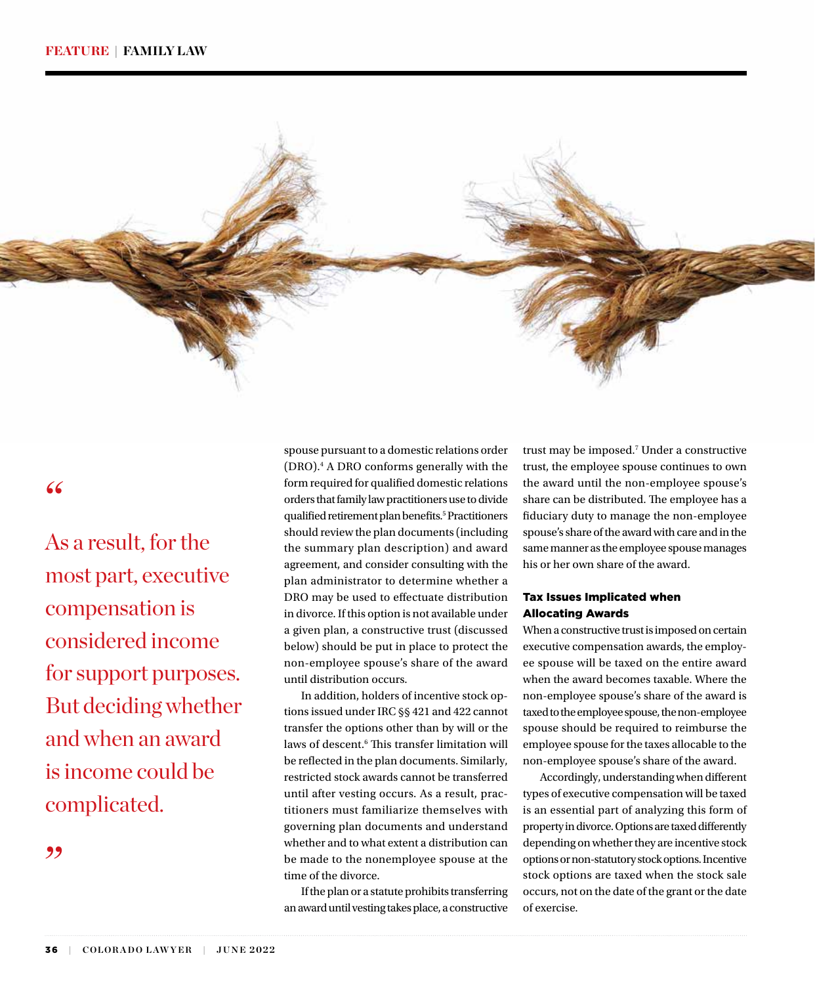

"

As a result, for the most part, executive compensation is considered income for support purposes. But deciding whether and when an award is income could be complicated.

,,

spouse pursuant to a domestic relations order (DRO).4 A DRO conforms generally with the form required for qualified domestic relations orders that family law practitioners use to divide qualified retirement plan benefits.<sup>5</sup> Practitioners should review the plan documents (including the summary plan description) and award agreement, and consider consulting with the plan administrator to determine whether a DRO may be used to effectuate distribution in divorce. If this option is not available under a given plan, a constructive trust (discussed below) should be put in place to protect the non-employee spouse's share of the award until distribution occurs.

In addition, holders of incentive stock options issued under IRC §§ 421 and 422 cannot transfer the options other than by will or the laws of descent.<sup>6</sup> This transfer limitation will be reflected in the plan documents. Similarly, restricted stock awards cannot be transferred until after vesting occurs. As a result, practitioners must familiarize themselves with governing plan documents and understand whether and to what extent a distribution can be made to the nonemployee spouse at the time of the divorce.

If the plan or a statute prohibits transferring an award until vesting takes place, a constructive

trust may be imposed.7 Under a constructive trust, the employee spouse continues to own the award until the non-employee spouse's share can be distributed. The employee has a fiduciary duty to manage the non-employee spouse's share of the award with care and in the same manner as the employee spouse manages his or her own share of the award.

## Tax Issues Implicated when Allocating Awards

When a constructive trust is imposed on certain executive compensation awards, the employee spouse will be taxed on the entire award when the award becomes taxable. Where the non-employee spouse's share of the award is taxed to the employee spouse, the non-employee spouse should be required to reimburse the employee spouse for the taxes allocable to the non-employee spouse's share of the award.

Accordingly, understanding when different types of executive compensation will be taxed is an essential part of analyzing this form of property in divorce. Options are taxed differently depending on whether they are incentive stock options or non-statutory stock options. Incentive stock options are taxed when the stock sale occurs, not on the date of the grant or the date of exercise.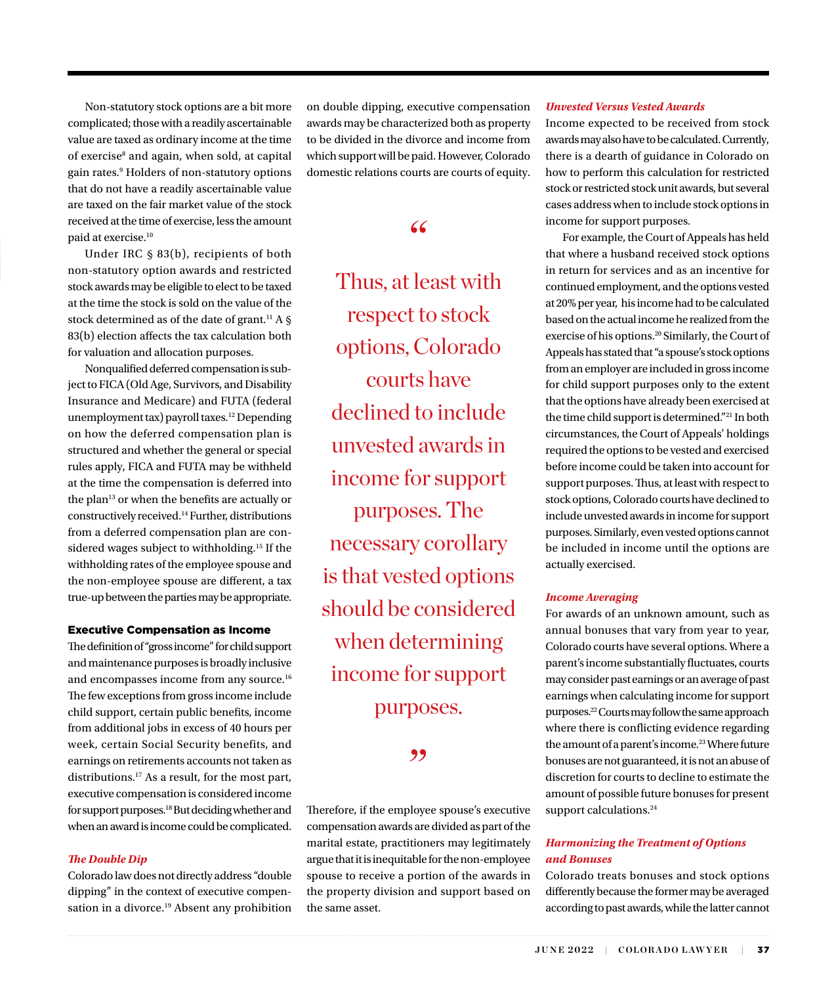Non-statutory stock options are a bit more complicated; those with a readily ascertainable value are taxed as ordinary income at the time of exercise<sup>8</sup> and again, when sold, at capital gain rates.9 Holders of non-statutory options that do not have a readily ascertainable value are taxed on the fair market value of the stock received at the time of exercise, less the amount paid at exercise.10

Under IRC § 83(b), recipients of both non-statutory option awards and restricted stock awards may be eligible to elect to be taxed at the time the stock is sold on the value of the stock determined as of the date of grant.<sup>11</sup> A  $\delta$ 83(b) election affects the tax calculation both for valuation and allocation purposes.

Nonqualified deferred compensation is subject to FICA (Old Age, Survivors, and Disability Insurance and Medicare) and FUTA (federal unemployment tax) payroll taxes.<sup>12</sup> Depending on how the deferred compensation plan is structured and whether the general or special rules apply, FICA and FUTA may be withheld at the time the compensation is deferred into the plan<sup>13</sup> or when the benefits are actually or constructively received.14 Further, distributions from a deferred compensation plan are considered wages subject to withholding.15 If the withholding rates of the employee spouse and the non-employee spouse are different, a tax true-up between the parties may be appropriate.

### Executive Compensation as Income

The definition of "gross income" for child support and maintenance purposes is broadly inclusive and encompasses income from any source.16 The few exceptions from gross income include child support, certain public benefits, income from additional jobs in excess of 40 hours per week, certain Social Security benefits, and earnings on retirements accounts not taken as distributions.17 As a result, for the most part, executive compensation is considered income for support purposes.<sup>18</sup> But deciding whether and when an award is income could be complicated.

### *The Double Dip*

Colorado law does not directly address "double dipping" in the context of executive compensation in a divorce.<sup>19</sup> Absent any prohibition on double dipping, executive compensation awards may be characterized both as property to be divided in the divorce and income from which support will be paid. However, Colorado domestic relations courts are courts of equity.

# $66$

Thus, at least with respect to stock options, Colorado courts have declined to include unvested awards in income for support purposes. The necessary corollary is that vested options should be considered when determining income for support purposes.

# ,,

Therefore, if the employee spouse's executive compensation awards are divided as part of the marital estate, practitioners may legitimately argue that it is inequitable for the non-employee spouse to receive a portion of the awards in the property division and support based on the same asset.

### *Unvested Versus Vested Awards*

Income expected to be received from stock awards may also have to be calculated. Currently, there is a dearth of guidance in Colorado on how to perform this calculation for restricted stock or restricted stock unit awards, but several cases address when to include stock options in income for support purposes.

For example, the Court of Appeals has held that where a husband received stock options in return for services and as an incentive for continued employment, and the options vested at 20% per year, his income had to be calculated based on the actual income he realized from the exercise of his options.<sup>20</sup> Similarly, the Court of Appeals has stated that "a spouse's stock options from an employer are included in gross income for child support purposes only to the extent that the options have already been exercised at the time child support is determined."21 In both circumstances, the Court of Appeals' holdings required the options to be vested and exercised before income could be taken into account for support purposes. Thus, at least with respect to stock options, Colorado courts have declined to include unvested awards in income for support purposes. Similarly, even vested options cannot be included in income until the options are actually exercised.

### *Income Averaging*

For awards of an unknown amount, such as annual bonuses that vary from year to year, Colorado courts have several options. Where a parent's income substantially fluctuates, courts may consider past earnings or an average of past earnings when calculating income for support purposes.22 Courts may follow the same approach where there is conflicting evidence regarding the amount of a parent's income*.* 23 Where future bonuses are not guaranteed, it is not an abuse of discretion for courts to decline to estimate the amount of possible future bonuses for present support calculations.<sup>24</sup>

# *Harmonizing the Treatment of Options and Bonuses*

Colorado treats bonuses and stock options differently because the former may be averaged according to past awards, while the latter cannot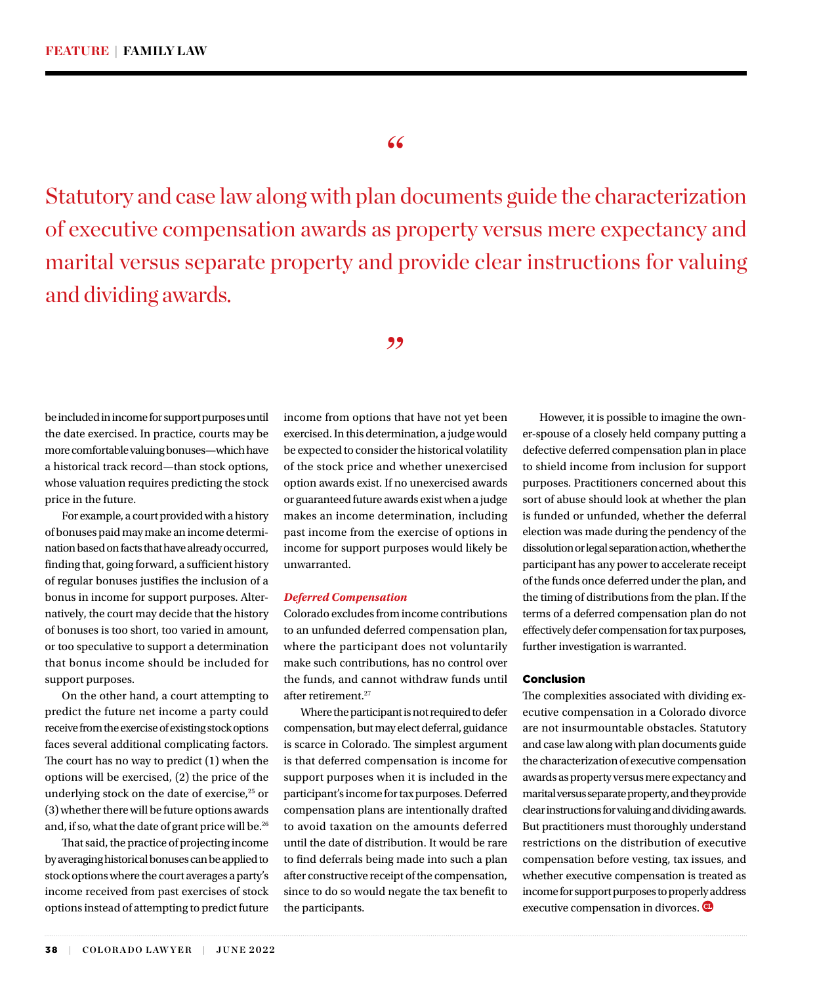# "

Statutory and case law along with plan documents guide the characterization of executive compensation awards as property versus mere expectancy and marital versus separate property and provide clear instructions for valuing and dividing awards.

,,

be included in income for support purposes until the date exercised. In practice, courts may be more comfortable valuing bonuses—which have a historical track record—than stock options, whose valuation requires predicting the stock price in the future.

For example, a court provided with a history of bonuses paid may make an income determination based on facts that have already occurred, finding that, going forward, a sufficient history of regular bonuses justifies the inclusion of a bonus in income for support purposes. Alternatively, the court may decide that the history of bonuses is too short, too varied in amount, or too speculative to support a determination that bonus income should be included for support purposes.

On the other hand, a court attempting to predict the future net income a party could receive from the exercise of existing stock options faces several additional complicating factors. The court has no way to predict (1) when the options will be exercised, (2) the price of the underlying stock on the date of exercise,<sup>25</sup> or (3) whether there will be future options awards and, if so, what the date of grant price will be.<sup>26</sup>

That said, the practice of projecting income by averaging historical bonuses can be applied to stock options where the court averages a party's income received from past exercises of stock options instead of attempting to predict future

income from options that have not yet been exercised. In this determination, a judge would be expected to consider the historical volatility of the stock price and whether unexercised option awards exist. If no unexercised awards or guaranteed future awards exist when a judge makes an income determination, including past income from the exercise of options in income for support purposes would likely be unwarranted.

### *Deferred Compensation*

Colorado excludes from income contributions to an unfunded deferred compensation plan, where the participant does not voluntarily make such contributions, has no control over the funds, and cannot withdraw funds until after retirement.<sup>27</sup>

Where the participant is not required to defer compensation, but may elect deferral, guidance is scarce in Colorado. The simplest argument is that deferred compensation is income for support purposes when it is included in the participant's income for tax purposes. Deferred compensation plans are intentionally drafted to avoid taxation on the amounts deferred until the date of distribution. It would be rare to find deferrals being made into such a plan after constructive receipt of the compensation, since to do so would negate the tax benefit to the participants.

However, it is possible to imagine the owner-spouse of a closely held company putting a defective deferred compensation plan in place to shield income from inclusion for support purposes. Practitioners concerned about this sort of abuse should look at whether the plan is funded or unfunded, whether the deferral election was made during the pendency of the dissolution or legal separation action, whether the participant has any power to accelerate receipt of the funds once deferred under the plan, and the timing of distributions from the plan. If the terms of a deferred compensation plan do not effectively defer compensation for tax purposes, further investigation is warranted.

### Conclusion

The complexities associated with dividing executive compensation in a Colorado divorce are not insurmountable obstacles. Statutory and case law along with plan documents guide the characterization of executive compensation awards as property versus mere expectancy and marital versus separate property, and they provide clear instructions for valuing and dividing awards. But practitioners must thoroughly understand restrictions on the distribution of executive compensation before vesting, tax issues, and whether executive compensation is treated as income for support purposes to properly address executive compensation in divorces.